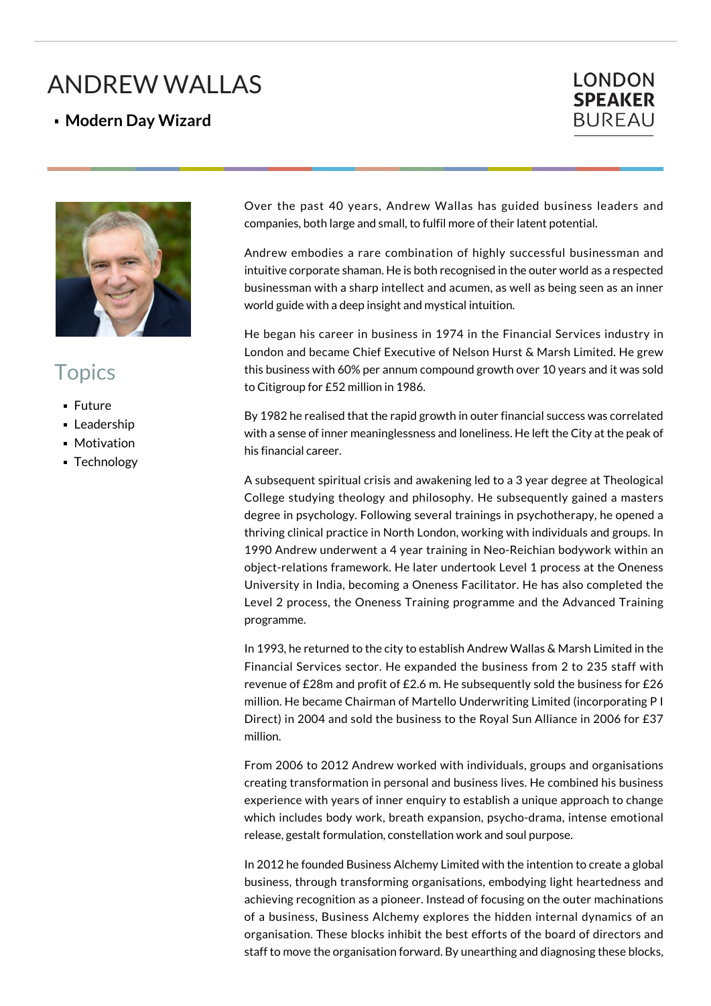## ANDREW WALLAS

## **Modern Day Wizard**





## **Topics**

- **Future**
- **Leadership**
- **Motivation**
- **Technology**

Over the past 40 years, Andrew Wallas has guided business leaders and companies, both large and small, to fulfil more of their latent potential.

Andrew embodies a rare combination of highly successful businessman and intuitive corporate shaman. He is both recognised in the outer world as a respected businessman with a sharp intellect and acumen, as well as being seen as an inner world guide with a deep insight and mystical intuition.

He began his career in business in 1974 in the Financial Services industry in London and became Chief Executive of Nelson Hurst & Marsh Limited. He grew this business with 60% per annum compound growth over 10 years and it was sold to Citigroup for £52 million in 1986.

By 1982 he realised that the rapid growth in outer financial success was correlated with a sense of inner meaninglessness and loneliness. He left the City at the peak of his financial career.

A subsequent spiritual crisis and awakening led to a 3 year degree at Theological College studying theology and philosophy. He subsequently gained a masters degree in psychology. Following several trainings in psychotherapy, he opened a thriving clinical practice in North London, working with individuals and groups. In 1990 Andrew underwent a 4 year training in Neo-Reichian bodywork within an object-relations framework. He later undertook Level 1 process at the Oneness University in India, becoming a Oneness Facilitator. He has also completed the Level 2 process, the Oneness Training programme and the Advanced Training programme.

In 1993, he returned to the city to establish Andrew Wallas & Marsh Limited in the Financial Services sector. He expanded the business from 2 to 235 staff with revenue of £28m and profit of £2.6 m. He subsequently sold the business for £26 million. He became Chairman of Martello Underwriting Limited (incorporating P I Direct) in 2004 and sold the business to the Royal Sun Alliance in 2006 for £37 million.

From 2006 to 2012 Andrew worked with individuals, groups and organisations creating transformation in personal and business lives. He combined his business experience with years of inner enquiry to establish a unique approach to change which includes body work, breath expansion, psycho-drama, intense emotional release, gestalt formulation, constellation work and soul purpose.

In 2012 he founded Business Alchemy Limited with the intention to create a global business, through transforming organisations, embodying light heartedness and achieving recognition as a pioneer. Instead of focusing on the outer machinations of a business, Business Alchemy explores the hidden internal dynamics of an organisation. These blocks inhibit the best efforts of the board of directors and staff to move the organisation forward. By unearthing and diagnosing these blocks,